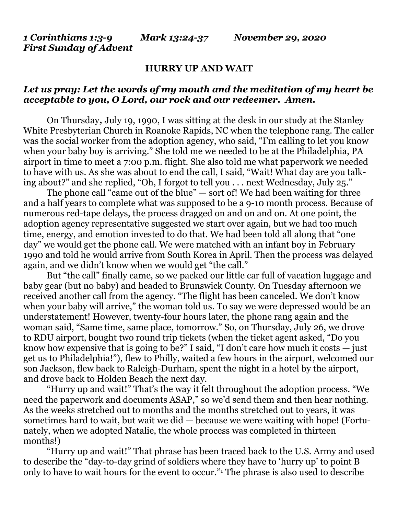*1 Corinthians 1:3-9 Mark 13:24-37 November 29, 2020 First Sunday of Advent*

## **HURRY UP AND WAIT**

## *Let us pray: Let the words of my mouth and the meditation of my heart be acceptable to you, O Lord, our rock and our redeemer. Amen.*

On Thursday*,* July 19, 1990, I was sitting at the desk in our study at the Stanley White Presbyterian Church in Roanoke Rapids, NC when the telephone rang. The caller was the social worker from the adoption agency, who said, "I'm calling to let you know when your baby boy is arriving." She told me we needed to be at the Philadelphia, PA airport in time to meet a 7:00 p.m. flight. She also told me what paperwork we needed to have with us. As she was about to end the call, I said, "Wait! What day are you talking about?" and she replied, "Oh, I forgot to tell you . . . next Wednesday, July 25."

The phone call "came out of the blue" — sort of! We had been waiting for three and a half years to complete what was supposed to be a 9-10 month process. Because of numerous red-tape delays, the process dragged on and on and on. At one point, the adoption agency representative suggested we start over again, but we had too much time, energy, and emotion invested to do that. We had been told all along that "one day" we would get the phone call. We were matched with an infant boy in February 1990 and told he would arrive from South Korea in April. Then the process was delayed again, and we didn't know when we would get "the call."

But "the call" finally came, so we packed our little car full of vacation luggage and baby gear (but no baby) and headed to Brunswick County. On Tuesday afternoon we received another call from the agency. "The flight has been canceled. We don't know when your baby will arrive," the woman told us. To say we were depressed would be an understatement! However, twenty-four hours later, the phone rang again and the woman said, "Same time, same place, tomorrow." So, on Thursday, July 26, we drove to RDU airport, bought two round trip tickets (when the ticket agent asked, "Do you know how expensive that is going to be?" I said, "I don't care how much it costs — just get us to Philadelphia!"), flew to Philly, waited a few hours in the airport, welcomed our son Jackson, flew back to Raleigh-Durham, spent the night in a hotel by the airport, and drove back to Holden Beach the next day.

"Hurry up and wait!" That's the way it felt throughout the adoption process. "We need the paperwork and documents ASAP," so we'd send them and then hear nothing. As the weeks stretched out to months and the months stretched out to years, it was sometimes hard to wait, but wait we did — because we were waiting with hope! (Fortunately, when we adopted Natalie, the whole process was completed in thirteen months!)

"Hurry up and wait!" That phrase has been traced back to the U.S. Army and used to describe the "day-to-day grind of soldiers where they have to 'hurry up' to point B only to have to wait hours for the event to occur."<sup>1</sup> The phrase is also used to describe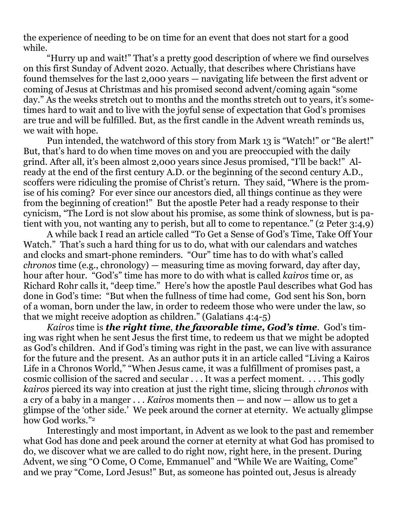the experience of needing to be on time for an event that does not start for a good while.

"Hurry up and wait!" That's a pretty good description of where we find ourselves on this first Sunday of Advent 2020. Actually, that describes where Christians have found themselves for the last 2,000 years — navigating life between the first advent or coming of Jesus at Christmas and his promised second advent/coming again "some day." As the weeks stretch out to months and the months stretch out to years, it's sometimes hard to wait and to live with the joyful sense of expectation that God's promises are true and will be fulfilled. But, as the first candle in the Advent wreath reminds us, we wait with hope.

Pun intended, the watchword of this story from Mark 13 is "Watch!" or "Be alert!" But, that's hard to do when time moves on and you are preoccupied with the daily grind. After all, it's been almost 2,000 years since Jesus promised, "I'll be back!" Already at the end of the first century A.D. or the beginning of the second century A.D., scoffers were ridiculing the promise of Christ's return. They said, "Where is the promise of his coming? For ever since our ancestors died, all things continue as they were from the beginning of creation!" But the apostle Peter had a ready response to their cynicism, "The Lord is not slow about his promise, as some think of slowness, but is patient with you, not wanting any to perish, but all to come to repentance." (2 Peter  $3:4,9$ )

A while back I read an article called "To Get a Sense of God's Time, Take Off Your Watch." That's such a hard thing for us to do, what with our calendars and watches and clocks and smart-phone reminders. "Our" time has to do with what's called *chronos* time (e.g., chronology) — measuring time as moving forward, day after day, hour after hour. "God's" time has more to do with what is called *kairos* time or, as Richard Rohr calls it, "deep time." Here's how the apostle Paul describes what God has done in God's time: "But when the fullness of time had come, God sent his Son, born of a woman, born under the law, in order to redeem those who were under the law, so that we might receive adoption as children." (Galatians 4:4-5)

*Kairos* time is *the right time*, *the favorable time, God's time*. God's timing was right when he sent Jesus the first time, to redeem us that we might be adopted as God's children. And if God's timing was right in the past, we can live with assurance for the future and the present. As an author puts it in an article called "Living a Kairos Life in a Chronos World," "When Jesus came, it was a fulfillment of promises past, a cosmic collision of the sacred and secular . . . It was a perfect moment. . . . This godly *kairos* pierced its way into creation at just the right time, slicing through *chronos* with a cry of a baby in a manger . . . *Kairos* moments then — and now — allow us to get a glimpse of the 'other side.' We peek around the corner at eternity. We actually glimpse how God works."<sup>2</sup>

Interestingly and most important, in Advent as we look to the past and remember what God has done and peek around the corner at eternity at what God has promised to do, we discover what we are called to do right now, right here, in the present. During Advent, we sing "O Come, O Come, Emmanuel" and "While We are Waiting, Come" and we pray "Come, Lord Jesus!" But, as someone has pointed out, Jesus is already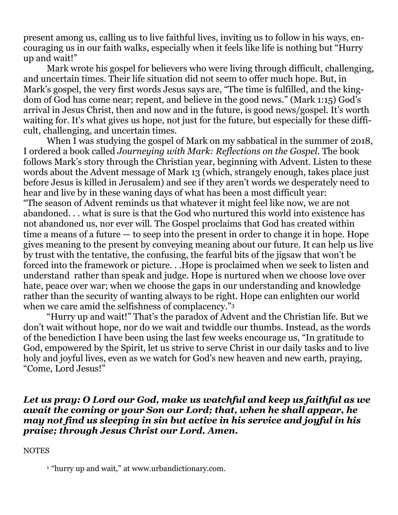present among us, calling us to live faithful lives, inviting us to follow in his ways, encouraging us in our faith walks, especially when it feels like life is nothing but "Hurry up and wait!"

Mark wrote his gospel for believers who were living through difficult, challenging, and uncertain times. Their life situation did not seem to offer much hope. But, in Mark's gospel, the very first words Jesus says are, "The time is fulfilled, and the kingdom of God has come near; repent, and believe in the good news." (Mark 1:15) God's arrival in Jesus Christ, then and now and in the future, is good news/gospel. It's worth waiting for. It's what gives us hope, not just for the future, but especially for these difficult, challenging, and uncertain times.

When I was studying the gospel of Mark on my sabbatical in the summer of 2018, I ordered a book called *Journeying with Mark: Reflections on the Gospel*. The book follows Mark's story through the Christian year, beginning with Advent. Listen to these words about the Advent message of Mark 13 (which, strangely enough, takes place just before Jesus is killed in Jerusalem) and see if they aren't words we desperately need to hear and live by in these waning days of what has been a most difficult year: "The season of Advent reminds us that whatever it might feel like now, we are not abandoned. . . what is sure is that the God who nurtured this world into existence has not abandoned us, nor ever will. The Gospel proclaims that God has created within time a means of a future — to seep into the present in order to change it in hope. Hope gives meaning to the present by conveying meaning about our future. It can help us live by trust with the tentative, the confusing, the fearful bits of the jigsaw that won't be forced into the framework or picture. . .Hope is proclaimed when we seek to listen and understand rather than speak and judge. Hope is nurtured when we choose love over hate, peace over war; when we choose the gaps in our understanding and knowledge rather than the security of wanting always to be right. Hope can enlighten our world when we care amid the selfishness of complacency."<sup>3</sup>

"Hurry up and wait!" That's the paradox of Advent and the Christian life. But we don't wait without hope, nor do we wait and twiddle our thumbs. Instead, as the words of the benediction I have been using the last few weeks encourage us, "In gratitude to God, empowered by the Spirit, let us strive to serve Christ in our daily tasks and to live holy and joyful lives, even as we watch for God's new heaven and new earth, praying, "Come, Lord Jesus!"

## *Let us pray: O Lord our God, make us watchful and keep us faithful as we await the coming or your Son our Lord; that, when he shall appear, he may not find us sleeping in sin but active in his service and joyful in his praise; through Jesus Christ our Lord. Amen.*

## **NOTES**

<sup>1</sup> "hurry up and wait," at [www.urbandictionary.com.](http://www.urbandictionary.com/)